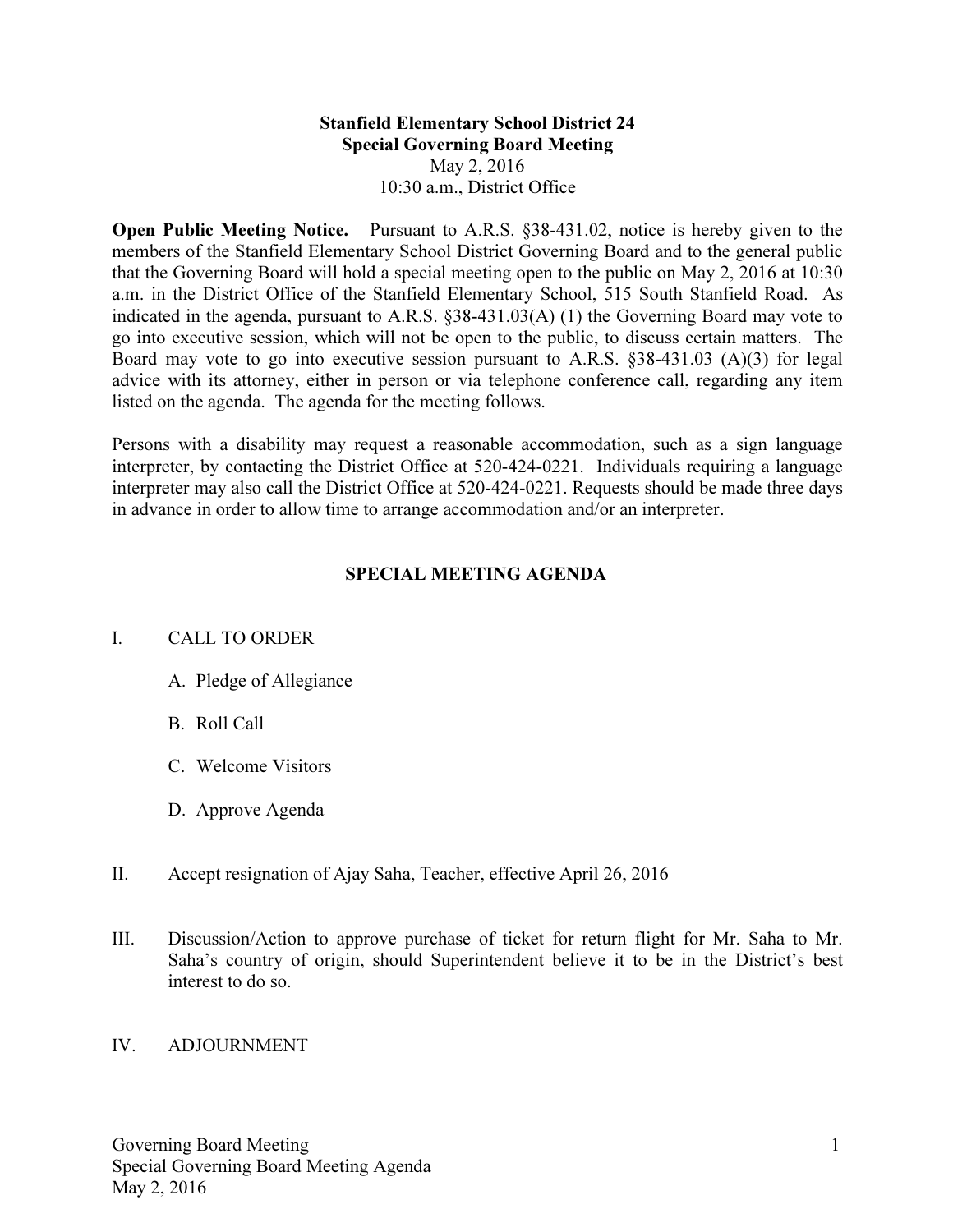## Stanfield Elementary School District 24 Special Governing Board Meeting May 2, 2016 10:30 a.m., District Office

Open Public Meeting Notice. Pursuant to A.R.S. §38-431.02, notice is hereby given to the members of the Stanfield Elementary School District Governing Board and to the general public that the Governing Board will hold a special meeting open to the public on May 2, 2016 at 10:30 a.m. in the District Office of the Stanfield Elementary School, 515 South Stanfield Road. As indicated in the agenda, pursuant to A.R.S. §38-431.03(A) (1) the Governing Board may vote to go into executive session, which will not be open to the public, to discuss certain matters. The Board may vote to go into executive session pursuant to A.R.S. §38-431.03 (A)(3) for legal advice with its attorney, either in person or via telephone conference call, regarding any item listed on the agenda. The agenda for the meeting follows.

Persons with a disability may request a reasonable accommodation, such as a sign language interpreter, by contacting the District Office at 520-424-0221. Individuals requiring a language interpreter may also call the District Office at 520-424-0221. Requests should be made three days in advance in order to allow time to arrange accommodation and/or an interpreter.

## SPECIAL MEETING AGENDA

## I. CALL TO ORDER

- A. Pledge of Allegiance
- B. Roll Call
- C. Welcome Visitors
- D. Approve Agenda
- II. Accept resignation of Ajay Saha, Teacher, effective April 26, 2016
- III. Discussion/Action to approve purchase of ticket for return flight for Mr. Saha to Mr. Saha's country of origin, should Superintendent believe it to be in the District's best interest to do so.

## IV. ADJOURNMENT